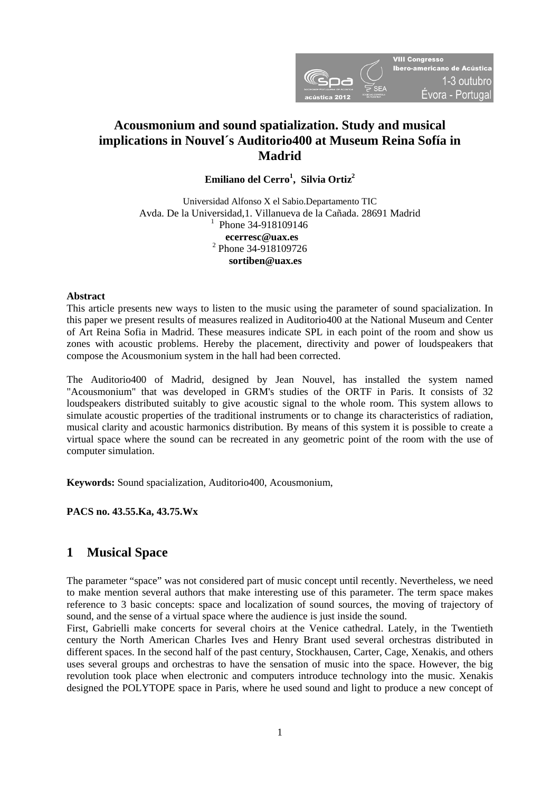

# **Acousmonium and sound spatialization. Study and musical implications in Nouvel´s Auditorio400 at Museum Reina Sofía in Madrid**

**Emiliano del Cerro<sup>1</sup> , Silvia Ortiz2** 

Universidad Alfonso X el Sabio.Departamento TIC Avda. De la Universidad,1. Villanueva de la Cañada. 28691 Madrid  $^{1}$  Phone 34-918109146 **ecerresc@uax.es** <sup>2</sup> Phone 34-918109726  **sortiben@uax.es** 

# **Abstract**

This article presents new ways to listen to the music using the parameter of sound spacialization. In this paper we present results of measures realized in Auditorio400 at the National Museum and Center of Art Reina Sofia in Madrid. These measures indicate SPL in each point of the room and show us zones with acoustic problems. Hereby the placement, directivity and power of loudspeakers that compose the Acousmonium system in the hall had been corrected.

The Auditorio400 of Madrid, designed by Jean Nouvel, has installed the system named "Acousmonium" that was developed in GRM's studies of the ORTF in Paris. It consists of 32 loudspeakers distributed suitably to give acoustic signal to the whole room. This system allows to simulate acoustic properties of the traditional instruments or to change its characteristics of radiation, musical clarity and acoustic harmonics distribution. By means of this system it is possible to create a virtual space where the sound can be recreated in any geometric point of the room with the use of computer simulation.

**Keywords:** Sound spacialization, Auditorio400, Acousmonium,

**PACS no. 43.55.Ka, 43.75.Wx** 

# **1 Musical Space**

The parameter "space" was not considered part of music concept until recently. Nevertheless, we need to make mention several authors that make interesting use of this parameter. The term space makes reference to 3 basic concepts: space and localization of sound sources, the moving of trajectory of sound, and the sense of a virtual space where the audience is just inside the sound.

First, Gabrielli make concerts for several choirs at the Venice cathedral. Lately, in the Twentieth century the North American Charles Ives and Henry Brant used several orchestras distributed in different spaces. In the second half of the past century, Stockhausen, Carter, Cage, Xenakis, and others uses several groups and orchestras to have the sensation of music into the space. However, the big revolution took place when electronic and computers introduce technology into the music. Xenakis designed the POLYTOPE space in Paris, where he used sound and light to produce a new concept of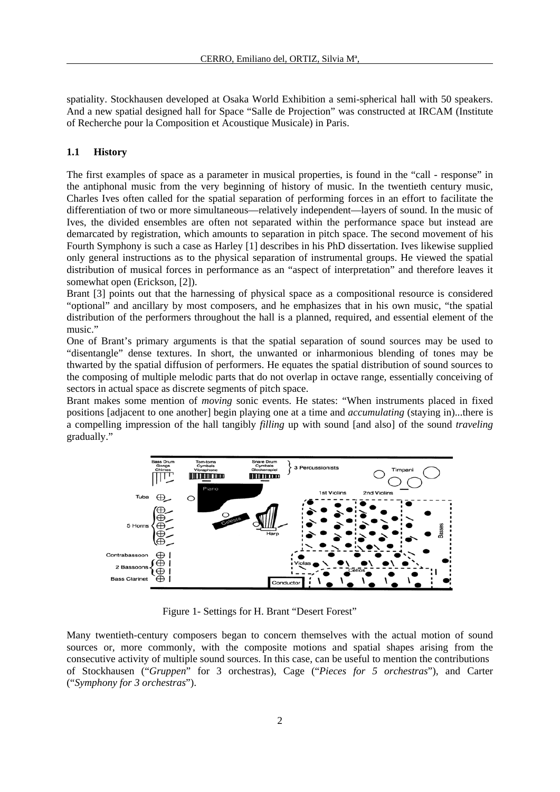spatiality. Stockhausen developed at Osaka World Exhibition a semi-spherical hall with 50 speakers. And a new spatial designed hall for Space "Salle de Projection" was constructed at IRCAM (Institute of Recherche pour la Composition et Acoustique Musicale) in Paris.

### **1.1 History**

The first examples of space as a parameter in musical properties, is found in the "call - response" in the antiphonal music from the very beginning of history of music. In the twentieth century music, Charles Ives often called for the spatial separation of performing forces in an effort to facilitate the differentiation of two or more simultaneous—relatively independent—layers of sound. In the music of Ives, the divided ensembles are often not separated within the performance space but instead are demarcated by registration, which amounts to separation in pitch space. The second movement of his Fourth Symphony is such a case as Harley [1] describes in his PhD dissertation. Ives likewise supplied only general instructions as to the physical separation of instrumental groups. He viewed the spatial distribution of musical forces in performance as an "aspect of interpretation" and therefore leaves it somewhat open (Erickson, [2]).

Brant [3] points out that the harnessing of physical space as a compositional resource is considered "optional" and ancillary by most composers, and he emphasizes that in his own music, "the spatial distribution of the performers throughout the hall is a planned, required, and essential element of the music."

One of Brant's primary arguments is that the spatial separation of sound sources may be used to "disentangle" dense textures. In short, the unwanted or inharmonious blending of tones may be thwarted by the spatial diffusion of performers. He equates the spatial distribution of sound sources to the composing of multiple melodic parts that do not overlap in octave range, essentially conceiving of sectors in actual space as discrete segments of pitch space.

Brant makes some mention of *moving* sonic events. He states: "When instruments placed in fixed positions [adjacent to one another] begin playing one at a time and *accumulating* (staying in)...there is a compelling impression of the hall tangibly *filling* up with sound [and also] of the sound *traveling*  gradually."



Figure 1- Settings for H. Brant "Desert Forest"

Many twentieth-century composers began to concern themselves with the actual motion of sound sources or, more commonly, with the composite motions and spatial shapes arising from the consecutive activity of multiple sound sources. In this case, can be useful to mention the contributions of Stockhausen ("*Gruppen*" for 3 orchestras), Cage ("*Pieces for 5 orchestras*"), and Carter ("*Symphony for 3 orchestras*").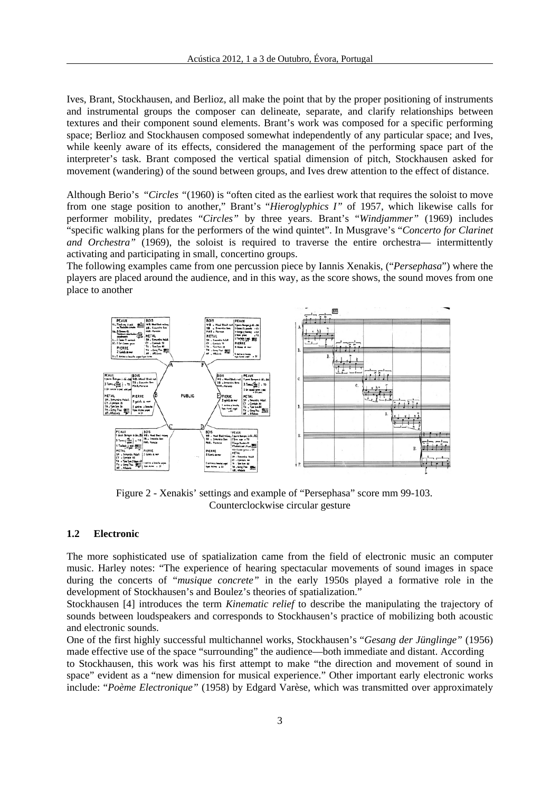Ives, Brant, Stockhausen, and Berlioz, all make the point that by the proper positioning of instruments and instrumental groups the composer can delineate, separate, and clarify relationships between textures and their component sound elements. Brant's work was composed for a specific performing space; Berlioz and Stockhausen composed somewhat independently of any particular space; and Ives, while keenly aware of its effects, considered the management of the performing space part of the interpreter's task. Brant composed the vertical spatial dimension of pitch, Stockhausen asked for movement (wandering) of the sound between groups, and Ives drew attention to the effect of distance.

Although Berio's "*Circles "*(1960) is "often cited as the earliest work that requires the soloist to move from one stage position to another," Brant's "*Hieroglyphics I"* of 1957, which likewise calls for performer mobility, predates "*Circles"* by three years. Brant's "*Windjammer"* (1969) includes "specific walking plans for the performers of the wind quintet". In Musgrave's "*Concerto for Clarinet and Orchestra"* (1969), the soloist is required to traverse the entire orchestra— intermittently activating and participating in small, concertino groups.

The following examples came from one percussion piece by Iannis Xenakis, ("*Persephasa*") where the players are placed around the audience, and in this way, as the score shows, the sound moves from one place to another



 Figure 2 - Xenakis' settings and example of "Persephasa" score mm 99-103. Counterclockwise circular gesture

# **1.2 Electronic**

The more sophisticated use of spatialization came from the field of electronic music an computer music. Harley notes: "The experience of hearing spectacular movements of sound images in space during the concerts of "*musique concrete"* in the early 1950s played a formative role in the development of Stockhausen's and Boulez's theories of spatialization."

Stockhausen [4] introduces the term *Kinematic relief* to describe the manipulating the trajectory of sounds between loudspeakers and corresponds to Stockhausen's practice of mobilizing both acoustic and electronic sounds.

One of the first highly successful multichannel works, Stockhausen's "*Gesang der Jünglinge"* (1956) made effective use of the space "surrounding" the audience—both immediate and distant. According to Stockhausen, this work was his first attempt to make "the direction and movement of sound in space" evident as a "new dimension for musical experience." Other important early electronic works include: "*Poème Electronique"* (1958) by Edgard Varèse, which was transmitted over approximately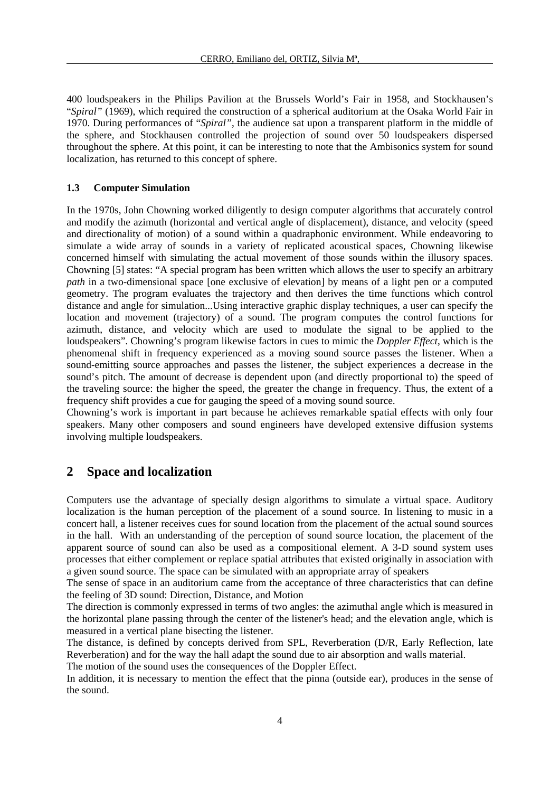400 loudspeakers in the Philips Pavilion at the Brussels World's Fair in 1958, and Stockhausen's "*Spiral"* (1969), which required the construction of a spherical auditorium at the Osaka World Fair in 1970. During performances of "*Spiral"*, the audience sat upon a transparent platform in the middle of the sphere, and Stockhausen controlled the projection of sound over 50 loudspeakers dispersed throughout the sphere. At this point, it can be interesting to note that the Ambisonics system for sound localization, has returned to this concept of sphere.

#### **1.3 Computer Simulation**

In the 1970s, John Chowning worked diligently to design computer algorithms that accurately control and modify the azimuth (horizontal and vertical angle of displacement), distance, and velocity (speed and directionality of motion) of a sound within a quadraphonic environment. While endeavoring to simulate a wide array of sounds in a variety of replicated acoustical spaces, Chowning likewise concerned himself with simulating the actual movement of those sounds within the illusory spaces. Chowning [5] states: "A special program has been written which allows the user to specify an arbitrary *path* in a two-dimensional space [one exclusive of elevation] by means of a light pen or a computed geometry. The program evaluates the trajectory and then derives the time functions which control distance and angle for simulation...Using interactive graphic display techniques, a user can specify the location and movement (trajectory) of a sound. The program computes the control functions for azimuth, distance, and velocity which are used to modulate the signal to be applied to the loudspeakers". Chowning's program likewise factors in cues to mimic the *Doppler Effect*, which is the phenomenal shift in frequency experienced as a moving sound source passes the listener. When a sound-emitting source approaches and passes the listener, the subject experiences a decrease in the sound's pitch. The amount of decrease is dependent upon (and directly proportional to) the speed of the traveling source: the higher the speed, the greater the change in frequency. Thus, the extent of a frequency shift provides a cue for gauging the speed of a moving sound source.

Chowning's work is important in part because he achieves remarkable spatial effects with only four speakers. Many other composers and sound engineers have developed extensive diffusion systems involving multiple loudspeakers.

# **2 Space and localization**

Computers use the advantage of specially design algorithms to simulate a virtual space. Auditory localization is the human perception of the placement of a sound source. In listening to music in a concert hall, a listener receives cues for sound location from the placement of the actual sound sources in the hall. With an understanding of the perception of sound source location, the placement of the apparent source of sound can also be used as a compositional element. A 3-D sound system uses processes that either complement or replace spatial attributes that existed originally in association with a given sound source. The space can be simulated with an appropriate array of speakers

The sense of space in an auditorium came from the acceptance of three characteristics that can define the feeling of 3D sound: Direction, Distance, and Motion

The direction is commonly expressed in terms of two angles: the azimuthal angle which is measured in the horizontal plane passing through the center of the listener's head; and the elevation angle, which is measured in a vertical plane bisecting the listener.

The distance, is defined by concepts derived from SPL, Reverberation (D/R, Early Reflection, late Reverberation) and for the way the hall adapt the sound due to air absorption and walls material.

The motion of the sound uses the consequences of the Doppler Effect.

In addition, it is necessary to mention the effect that the pinna (outside ear), produces in the sense of the sound.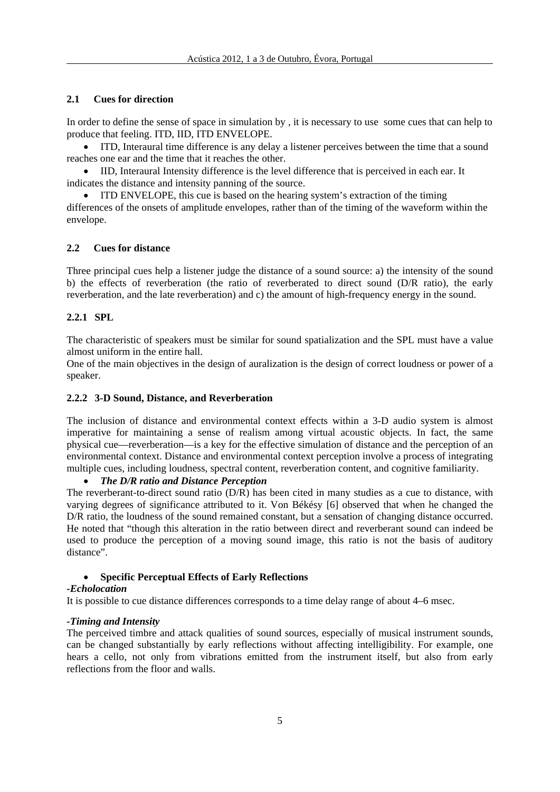# **2.1 Cues for direction**

In order to define the sense of space in simulation by , it is necessary to use some cues that can help to produce that feeling. ITD, IID, ITD ENVELOPE.

 ITD, Interaural time difference is any delay a listener perceives between the time that a sound reaches one ear and the time that it reaches the other.

 IID, Interaural Intensity difference is the level difference that is perceived in each ear. It indicates the distance and intensity panning of the source.

 ITD ENVELOPE, this cue is based on the hearing system's extraction of the timing differences of the onsets of amplitude envelopes, rather than of the timing of the waveform within the envelope.

# **2.2 Cues for distance**

Three principal cues help a listener judge the distance of a sound source: a) the intensity of the sound b) the effects of reverberation (the ratio of reverberated to direct sound (D/R ratio), the early reverberation, and the late reverberation) and c) the amount of high-frequency energy in the sound.

# **2.2.1 SPL**

The characteristic of speakers must be similar for sound spatialization and the SPL must have a value almost uniform in the entire hall.

One of the main objectives in the design of auralization is the design of correct loudness or power of a speaker.

# **2.2.2 3-D Sound, Distance, and Reverberation**

The inclusion of distance and environmental context effects within a 3-D audio system is almost imperative for maintaining a sense of realism among virtual acoustic objects. In fact, the same physical cue—reverberation—is a key for the effective simulation of distance and the perception of an environmental context. Distance and environmental context perception involve a process of integrating multiple cues, including loudness, spectral content, reverberation content, and cognitive familiarity.

# *The D/R ratio and Distance Perception*

The reverberant-to-direct sound ratio (D/R) has been cited in many studies as a cue to distance, with varying degrees of significance attributed to it. Von Békésy [6] observed that when he changed the D/R ratio, the loudness of the sound remained constant, but a sensation of changing distance occurred. He noted that "though this alteration in the ratio between direct and reverberant sound can indeed be used to produce the perception of a moving sound image, this ratio is not the basis of auditory distance".

# **Specific Perceptual Effects of Early Reflections**

# *-Echolocation*

It is possible to cue distance differences corresponds to a time delay range of about 4–6 msec.

# *-Timing and Intensity*

The perceived timbre and attack qualities of sound sources, especially of musical instrument sounds, can be changed substantially by early reflections without affecting intelligibility. For example, one hears a cello, not only from vibrations emitted from the instrument itself, but also from early reflections from the floor and walls.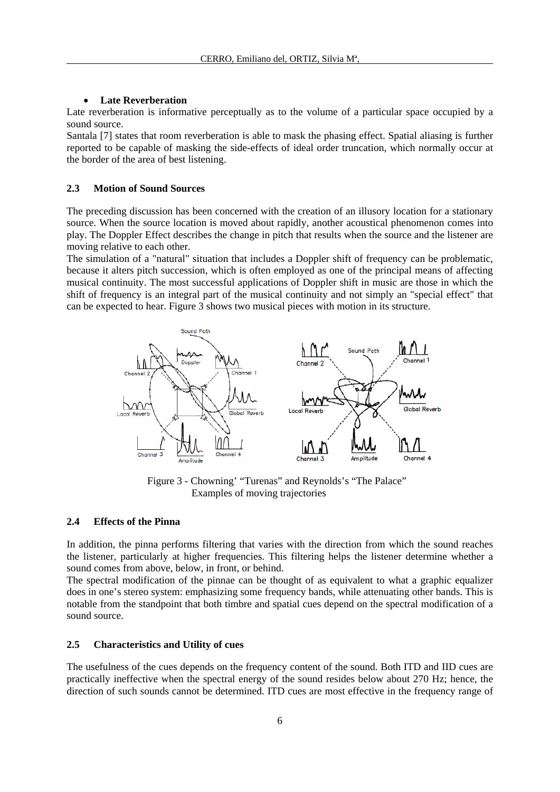# **Late Reverberation**

Late reverberation is informative perceptually as to the volume of a particular space occupied by a sound source.

Santala [7] states that room reverberation is able to mask the phasing effect. Spatial aliasing is further reported to be capable of masking the side-effects of ideal order truncation, which normally occur at the border of the area of best listening.

#### **2.3 Motion of Sound Sources**

The preceding discussion has been concerned with the creation of an illusory location for a stationary source. When the source location is moved about rapidly, another acoustical phenomenon comes into play. The Doppler Effect describes the change in pitch that results when the source and the listener are moving relative to each other.

The simulation of a "natural" situation that includes a Doppler shift of frequency can be problematic, because it alters pitch succession, which is often employed as one of the principal means of affecting musical continuity. The most successful applications of Doppler shift in music are those in which the shift of frequency is an integral part of the musical continuity and not simply an "special effect" that can be expected to hear. Figure 3 shows two musical pieces with motion in its structure.



 Figure 3 - Chowning' "Turenas" and Reynolds's "The Palace" Examples of moving trajectories

### **2.4 Effects of the Pinna**

In addition, the pinna performs filtering that varies with the direction from which the sound reaches the listener, particularly at higher frequencies. This filtering helps the listener determine whether a sound comes from above, below, in front, or behind.

The spectral modification of the pinnae can be thought of as equivalent to what a graphic equalizer does in one's stereo system: emphasizing some frequency bands, while attenuating other bands. This is notable from the standpoint that both timbre and spatial cues depend on the spectral modification of a sound source.

#### **2.5 Characteristics and Utility of cues**

The usefulness of the cues depends on the frequency content of the sound. Both ITD and IID cues are practically ineffective when the spectral energy of the sound resides below about 270 Hz; hence, the direction of such sounds cannot be determined. ITD cues are most effective in the frequency range of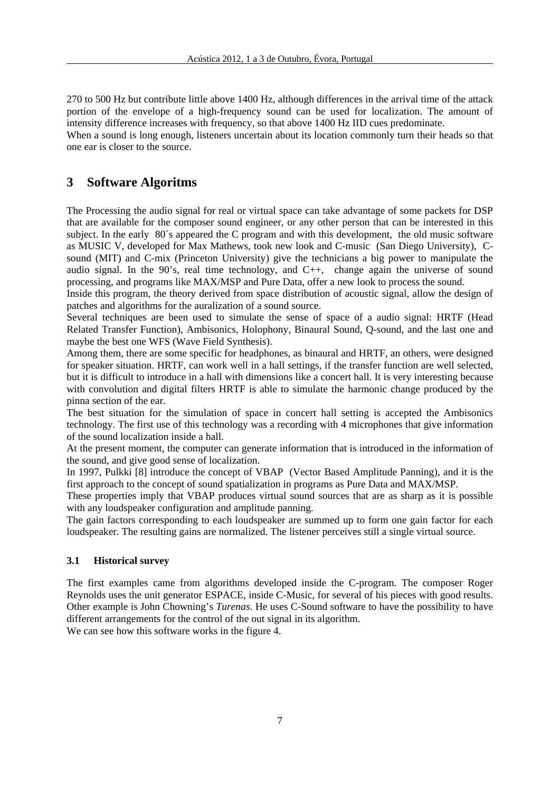270 to 500 Hz but contribute little above 1400 Hz, although differences in the arrival time of the attack portion of the envelope of a high-frequency sound can be used for localization. The amount of intensity difference increases with frequency, so that above 1400 Hz IID cues predominate.

When a sound is long enough, listeners uncertain about its location commonly turn their heads so that one ear is closer to the source.

# **3 Software Algoritms**

The Processing the audio signal for real or virtual space can take advantage of some packets for DSP that are available for the composer sound engineer, or any other person that can be interested in this subject. In the early 80´s appeared the C program and with this development, the old music software as MUSIC V, developed for Max Mathews, took new look and C-music (San Diego University), Csound (MIT) and C-mix (Princeton University) give the technicians a big power to manipulate the audio signal. In the 90's, real time technology, and C++, change again the universe of sound processing, and programs like MAX/MSP and Pure Data, offer a new look to process the sound.

Inside this program, the theory derived from space distribution of acoustic signal, allow the design of patches and algorithms for the auralization of a sound source.

Several techniques are been used to simulate the sense of space of a audio signal: HRTF (Head Related Transfer Function), Ambisonics, Holophony, Binaural Sound, Q-sound, and the last one and maybe the best one WFS (Wave Field Synthesis).

Among them, there are some specific for headphones, as binaural and HRTF, an others, were designed for speaker situation. HRTF, can work well in a hall settings, if the transfer function are well selected, but it is difficult to introduce in a hall with dimensions like a concert hall. It is very interesting because with convolution and digital filters HRTF is able to simulate the harmonic change produced by the pinna section of the ear.

The best situation for the simulation of space in concert hall setting is accepted the Ambisonics technology. The first use of this technology was a recording with 4 microphones that give information of the sound localization inside a hall.

At the present moment, the computer can generate information that is introduced in the information of the sound, and give good sense of localization.

In 1997, Pulkki [8] introduce the concept of VBAP (Vector Based Amplitude Panning), and it is the first approach to the concept of sound spatialization in programs as Pure Data and MAX/MSP.

These properties imply that VBAP produces virtual sound sources that are as sharp as it is possible with any loudspeaker configuration and amplitude panning.

The gain factors corresponding to each loudspeaker are summed up to form one gain factor for each loudspeaker. The resulting gains are normalized. The listener perceives still a single virtual source.

# **3.1 Historical survey**

The first examples came from algorithms developed inside the C-program. The composer Roger Reynolds uses the unit generator ESPACE, inside C-Music, for several of his pieces with good results. Other example is John Chowning's *Turenas*. He uses C-Sound software to have the possibility to have different arrangements for the control of the out signal in its algorithm.

We can see how this software works in the figure 4.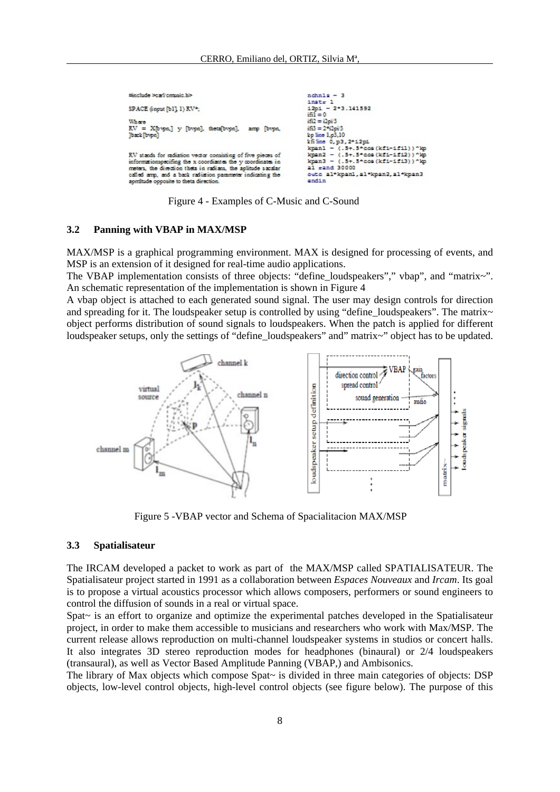```
#include >carl cravic h>
                                                                         nchn1a - 3inst= 1<br>inst= 1<br>i2pi - 2*3.141592
SPACE 6 now fb11 1) RV*:
                                                                          iii = 0i52 = 2pi/3Where
                                                                         \frac{1}{163} = 2\frac{6}{12}pi/3<br>kp line 1,p3,10
RV = X[bvpa] y [bvpa].
                                                          N.
back [bypn]
                                                                                  0, p3, 2*12p1<br>- (.5+.5*cos (kf1-1fil))
                                                                         Lis line
                                                                          kpanl
                                                                                  Ξ
                                                                          kpan2
                                                                                     (.5+.5+cos(kf1-1f12))<br>(.5+.5+cos(kf1-1f13))RV stands for sadiation vector consisting of five pieces of
                                                                                  u
informationspecifing the x coordiantes the y coordinates in
                                                                          kpan3
meters, the direction theta in radians, the aplitude sacalar
                                                                         al rand 30000
                                                                          oute al*kpanl, al*kpan2, al*kpan3
called amp, and a back radiation parameter indicating the
                                                                          endin
         opposite to theta directio
```
Figure 4 - Examples of C-Music and C-Sound

#### **3.2 Panning with VBAP in MAX/MSP**

MAX/MSP is a graphical programming environment. MAX is designed for processing of events, and MSP is an extension of it designed for real-time audio applications.

The VBAP implementation consists of three objects: "define\_loudspeakers"," vbap", and "matrix~". An schematic representation of the implementation is shown in Figure 4

A vbap object is attached to each generated sound signal. The user may design controls for direction and spreading for it. The loudspeaker setup is controlled by using "define\_loudspeakers". The matrix~ object performs distribution of sound signals to loudspeakers. When the patch is applied for different loudspeaker setups, only the settings of "define\_loudspeakers" and" matrix~" object has to be updated.



Figure 5 -VBAP vector and Schema of Spacialitacion MAX/MSP

#### **3.3 Spatialisateur**

The IRCAM developed a packet to work as part of the MAX/MSP called SPATIALISATEUR. The Spatialisateur project started in 1991 as a collaboration between *Espaces Nouveaux* and *Ircam*. Its goal is to propose a virtual acoustics processor which allows composers, performers or sound engineers to control the diffusion of sounds in a real or virtual space.

Spat~ is an effort to organize and optimize the experimental patches developed in the Spatialisateur project, in order to make them accessible to musicians and researchers who work with Max/MSP. The current release allows reproduction on multi-channel loudspeaker systems in studios or concert halls. It also integrates 3D stereo reproduction modes for headphones (binaural) or 2/4 loudspeakers (transaural), as well as Vector Based Amplitude Panning (VBAP,) and Ambisonics.

The library of Max objects which compose Spat~ is divided in three main categories of objects: DSP objects, low-level control objects, high-level control objects (see figure below). The purpose of this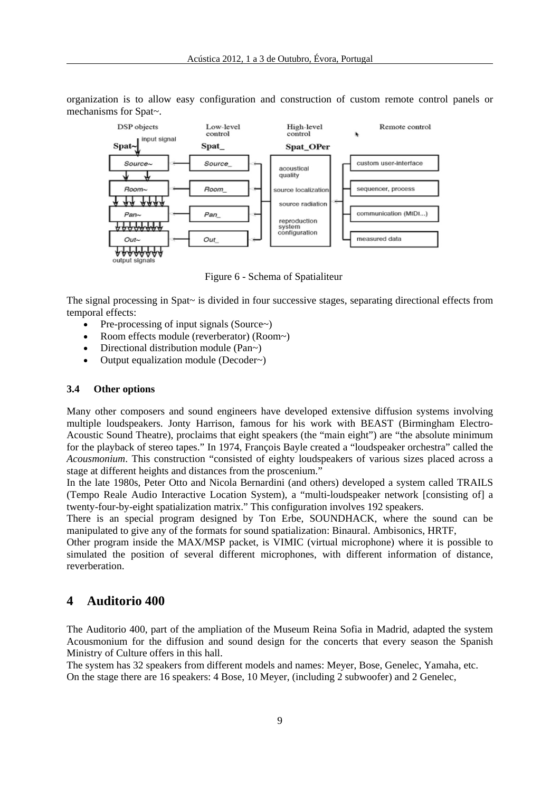organization is to allow easy configuration and construction of custom remote control panels or mechanisms for Spat~.



Figure 6 - Schema of Spatialiteur

The signal processing in Spat~ is divided in four successive stages, separating directional effects from temporal effects:

- Pre-processing of input signals (Source $\sim$ )
- Room effects module (reverberator) (Room~)
- Directional distribution module (Pan~)
- Output equalization module (Decoder~)

#### **3.4 Other options**

Many other composers and sound engineers have developed extensive diffusion systems involving multiple loudspeakers. Jonty Harrison, famous for his work with BEAST (Birmingham Electro-Acoustic Sound Theatre), proclaims that eight speakers (the "main eight") are "the absolute minimum for the playback of stereo tapes." In 1974, François Bayle created a "loudspeaker orchestra" called the *Acousmonium*. This construction "consisted of eighty loudspeakers of various sizes placed across a stage at different heights and distances from the proscenium."

In the late 1980s, Peter Otto and Nicola Bernardini (and others) developed a system called TRAILS (Tempo Reale Audio Interactive Location System), a "multi-loudspeaker network [consisting of] a twenty-four-by-eight spatialization matrix." This configuration involves 192 speakers.

There is an special program designed by Ton Erbe, SOUNDHACK, where the sound can be manipulated to give any of the formats for sound spatialization: Binaural. Ambisonics, HRTF,

Other program inside the MAX/MSP packet, is VIMIC (virtual microphone) where it is possible to simulated the position of several different microphones, with different information of distance, reverberation.

# **4 Auditorio 400**

The Auditorio 400, part of the ampliation of the Museum Reina Sofia in Madrid, adapted the system Acousmonium for the diffusion and sound design for the concerts that every season the Spanish Ministry of Culture offers in this hall.

The system has 32 speakers from different models and names: Meyer, Bose, Genelec, Yamaha, etc. On the stage there are 16 speakers: 4 Bose, 10 Meyer, (including 2 subwoofer) and 2 Genelec,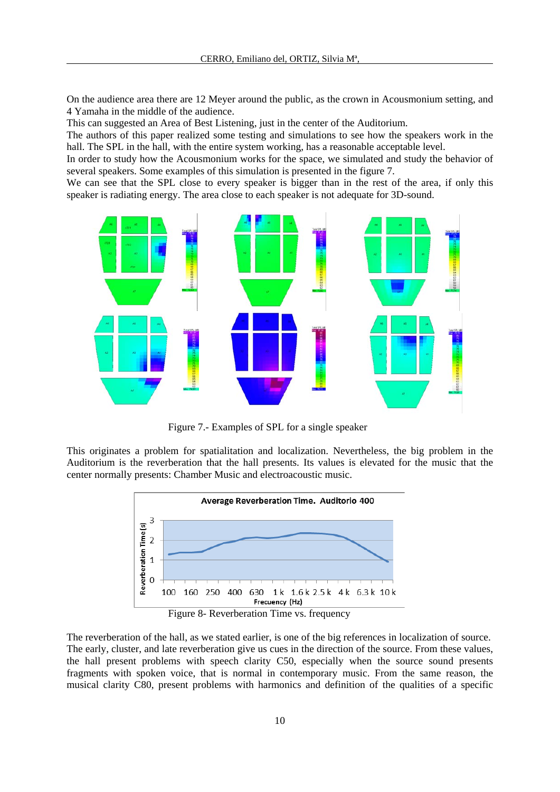On the audience area there are 12 Meyer around the public, as the crown in Acousmonium setting, and 4 Yamaha in the middle of the audience.

This can suggested an Area of Best Listening, just in the center of the Auditorium.

The authors of this paper realized some testing and simulations to see how the speakers work in the hall. The SPL in the hall, with the entire system working, has a reasonable acceptable level.

In order to study how the Acousmonium works for the space, we simulated and study the behavior of several speakers. Some examples of this simulation is presented in the figure 7.

We can see that the SPL close to every speaker is bigger than in the rest of the area, if only this speaker is radiating energy. The area close to each speaker is not adequate for 3D-sound.



Figure 7.- Examples of SPL for a single speaker

This originates a problem for spatialitation and localization. Nevertheless, the big problem in the Auditorium is the reverberation that the hall presents. Its values is elevated for the music that the center normally presents: Chamber Music and electroacoustic music.



The reverberation of the hall, as we stated earlier, is one of the big references in localization of source. The early, cluster, and late reverberation give us cues in the direction of the source. From these values, the hall present problems with speech clarity C50, especially when the source sound presents fragments with spoken voice, that is normal in contemporary music. From the same reason, the musical clarity C80, present problems with harmonics and definition of the qualities of a specific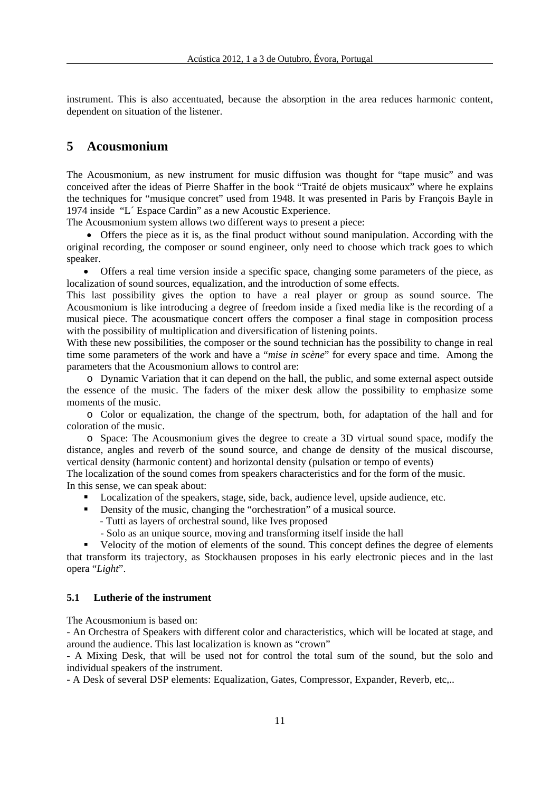instrument. This is also accentuated, because the absorption in the area reduces harmonic content, dependent on situation of the listener.

# **5 Acousmonium**

The Acousmonium, as new instrument for music diffusion was thought for "tape music" and was conceived after the ideas of Pierre Shaffer in the book "Traité de objets musicaux" where he explains the techniques for "musique concret" used from 1948. It was presented in Paris by François Bayle in 1974 inside "L´ Espace Cardin" as a new Acoustic Experience.

The Acousmonium system allows two different ways to present a piece:

 Offers the piece as it is, as the final product without sound manipulation. According with the original recording, the composer or sound engineer, only need to choose which track goes to which speaker.

 Offers a real time version inside a specific space, changing some parameters of the piece, as localization of sound sources, equalization, and the introduction of some effects.

This last possibility gives the option to have a real player or group as sound source. The Acousmonium is like introducing a degree of freedom inside a fixed media like is the recording of a musical piece. The acousmatique concert offers the composer a final stage in composition process with the possibility of multiplication and diversification of listening points.

With these new possibilities, the composer or the sound technician has the possibility to change in real time some parameters of the work and have a "*mise in scène*" for every space and time. Among the parameters that the Acousmonium allows to control are:

o Dynamic Variation that it can depend on the hall, the public, and some external aspect outside the essence of the music. The faders of the mixer desk allow the possibility to emphasize some moments of the music.

o Color or equalization, the change of the spectrum, both, for adaptation of the hall and for coloration of the music.

o Space: The Acousmonium gives the degree to create a 3D virtual sound space, modify the distance, angles and reverb of the sound source, and change de density of the musical discourse, vertical density (harmonic content) and horizontal density (pulsation or tempo of events)

The localization of the sound comes from speakers characteristics and for the form of the music. In this sense, we can speak about:

- **Localization of the speakers, stage, side, back, audience level, upside audience, etc.**
- Density of the music, changing the "orchestration" of a musical source.
	- Tutti as layers of orchestral sound, like Ives proposed
		- Solo as an unique source, moving and transforming itself inside the hall

 Velocity of the motion of elements of the sound. This concept defines the degree of elements that transform its trajectory, as Stockhausen proposes in his early electronic pieces and in the last opera "*Light*".

#### **5.1 Lutherie of the instrument**

The Acousmonium is based on:

- An Orchestra of Speakers with different color and characteristics, which will be located at stage, and around the audience. This last localization is known as "crown"

- A Mixing Desk, that will be used not for control the total sum of the sound, but the solo and individual speakers of the instrument.

- A Desk of several DSP elements: Equalization, Gates, Compressor, Expander, Reverb, etc,..